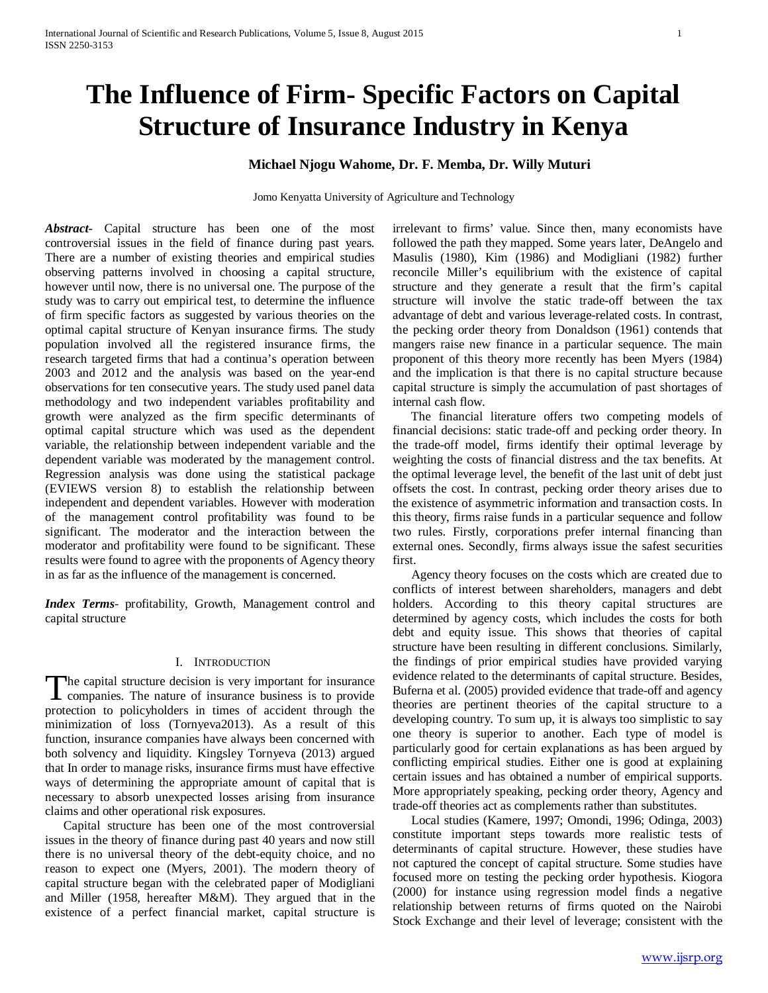# **The Influence of Firm- Specific Factors on Capital Structure of Insurance Industry in Kenya**

# **Michael Njogu Wahome, Dr. F. Memba, Dr. Willy Muturi**

Jomo Kenyatta University of Agriculture and Technology

*Abstract***-** Capital structure has been one of the most controversial issues in the field of finance during past years. There are a number of existing theories and empirical studies observing patterns involved in choosing a capital structure, however until now, there is no universal one. The purpose of the study was to carry out empirical test, to determine the influence of firm specific factors as suggested by various theories on the optimal capital structure of Kenyan insurance firms. The study population involved all the registered insurance firms, the research targeted firms that had a continua's operation between 2003 and 2012 and the analysis was based on the year-end observations for ten consecutive years. The study used panel data methodology and two independent variables profitability and growth were analyzed as the firm specific determinants of optimal capital structure which was used as the dependent variable, the relationship between independent variable and the dependent variable was moderated by the management control. Regression analysis was done using the statistical package (EVIEWS version 8) to establish the relationship between independent and dependent variables. However with moderation of the management control profitability was found to be significant. The moderator and the interaction between the moderator and profitability were found to be significant. These results were found to agree with the proponents of Agency theory in as far as the influence of the management is concerned.

*Index Terms*- profitability, Growth, Management control and capital structure

#### I. INTRODUCTION

he capital structure decision is very important for insurance The capital structure decision is very important for insurance<br>companies. The nature of insurance business is to provide<br>the probability of the probability of the probability protection to policyholders in times of accident through the minimization of loss (Tornyeva2013). As a result of this function, insurance companies have always been concerned with both solvency and liquidity. Kingsley Tornyeva (2013) argued that In order to manage risks, insurance firms must have effective ways of determining the appropriate amount of capital that is necessary to absorb unexpected losses arising from insurance claims and other operational risk exposures.

 Capital structure has been one of the most controversial issues in the theory of finance during past 40 years and now still there is no universal theory of the debt-equity choice, and no reason to expect one (Myers, 2001). The modern theory of capital structure began with the celebrated paper of Modigliani and Miller (1958, hereafter M&M). They argued that in the existence of a perfect financial market, capital structure is irrelevant to firms' value. Since then, many economists have followed the path they mapped. Some years later, DeAngelo and Masulis (1980), Kim (1986) and Modigliani (1982) further reconcile Miller's equilibrium with the existence of capital structure and they generate a result that the firm's capital structure will involve the static trade-off between the tax advantage of debt and various leverage-related costs. In contrast, the pecking order theory from Donaldson (1961) contends that mangers raise new finance in a particular sequence. The main proponent of this theory more recently has been Myers (1984) and the implication is that there is no capital structure because capital structure is simply the accumulation of past shortages of internal cash flow.

 The financial literature offers two competing models of financial decisions: static trade-off and pecking order theory. In the trade-off model, firms identify their optimal leverage by weighting the costs of financial distress and the tax benefits. At the optimal leverage level, the benefit of the last unit of debt just offsets the cost. In contrast, pecking order theory arises due to the existence of asymmetric information and transaction costs. In this theory, firms raise funds in a particular sequence and follow two rules. Firstly, corporations prefer internal financing than external ones. Secondly, firms always issue the safest securities first.

 Agency theory focuses on the costs which are created due to conflicts of interest between shareholders, managers and debt holders. According to this theory capital structures are determined by agency costs, which includes the costs for both debt and equity issue. This shows that theories of capital structure have been resulting in different conclusions. Similarly, the findings of prior empirical studies have provided varying evidence related to the determinants of capital structure. Besides, Buferna et al. (2005) provided evidence that trade-off and agency theories are pertinent theories of the capital structure to a developing country. To sum up, it is always too simplistic to say one theory is superior to another. Each type of model is particularly good for certain explanations as has been argued by conflicting empirical studies. Either one is good at explaining certain issues and has obtained a number of empirical supports. More appropriately speaking, pecking order theory, Agency and trade-off theories act as complements rather than substitutes.

 Local studies (Kamere, 1997; Omondi, 1996; Odinga, 2003) constitute important steps towards more realistic tests of determinants of capital structure. However, these studies have not captured the concept of capital structure. Some studies have focused more on testing the pecking order hypothesis. Kiogora (2000) for instance using regression model finds a negative relationship between returns of firms quoted on the Nairobi Stock Exchange and their level of leverage; consistent with the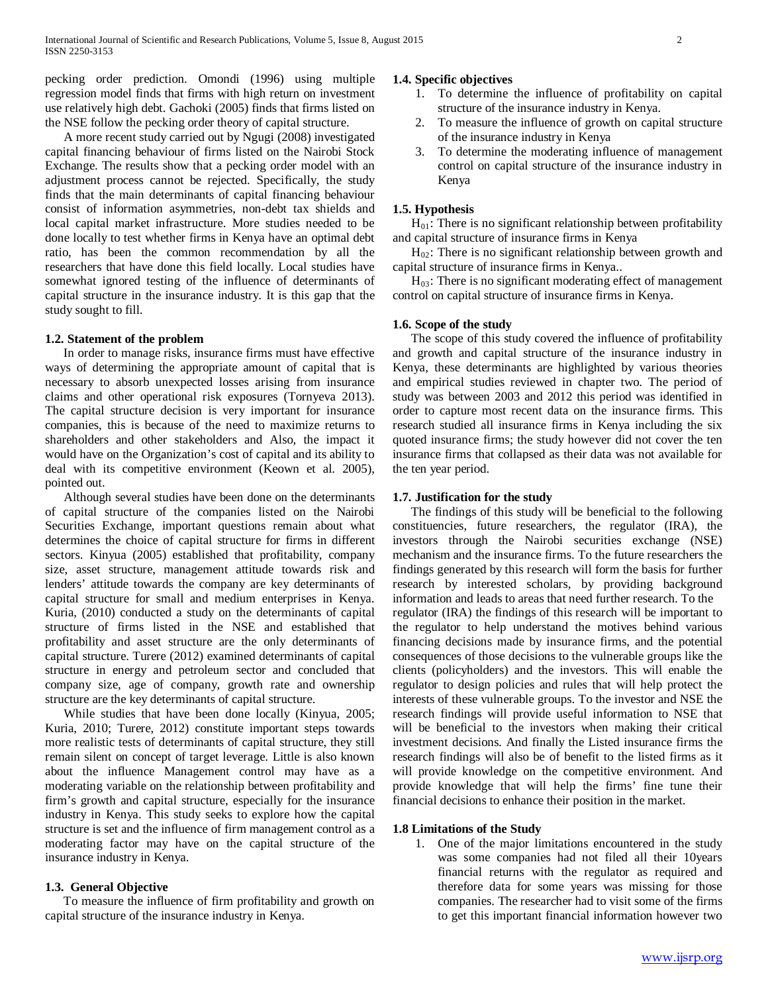pecking order prediction. Omondi (1996) using multiple regression model finds that firms with high return on investment use relatively high debt. Gachoki (2005) finds that firms listed on the NSE follow the pecking order theory of capital structure.

 A more recent study carried out by Ngugi (2008) investigated capital financing behaviour of firms listed on the Nairobi Stock Exchange. The results show that a pecking order model with an adjustment process cannot be rejected. Specifically, the study finds that the main determinants of capital financing behaviour consist of information asymmetries, non-debt tax shields and local capital market infrastructure. More studies needed to be done locally to test whether firms in Kenya have an optimal debt ratio, has been the common recommendation by all the researchers that have done this field locally. Local studies have somewhat ignored testing of the influence of determinants of capital structure in the insurance industry. It is this gap that the study sought to fill.

#### **1.2. Statement of the problem**

 In order to manage risks, insurance firms must have effective ways of determining the appropriate amount of capital that is necessary to absorb unexpected losses arising from insurance claims and other operational risk exposures (Tornyeva 2013). The capital structure decision is very important for insurance companies, this is because of the need to maximize returns to shareholders and other stakeholders and Also, the impact it would have on the Organization's cost of capital and its ability to deal with its competitive environment (Keown et al. 2005), pointed out.

 Although several studies have been done on the determinants of capital structure of the companies listed on the Nairobi Securities Exchange, important questions remain about what determines the choice of capital structure for firms in different sectors. Kinyua (2005) established that profitability, company size, asset structure, management attitude towards risk and lenders' attitude towards the company are key determinants of capital structure for small and medium enterprises in Kenya. Kuria, (2010) conducted a study on the determinants of capital structure of firms listed in the NSE and established that profitability and asset structure are the only determinants of capital structure. Turere (2012) examined determinants of capital structure in energy and petroleum sector and concluded that company size, age of company, growth rate and ownership structure are the key determinants of capital structure.

 While studies that have been done locally (Kinyua, 2005; Kuria, 2010; Turere, 2012) constitute important steps towards more realistic tests of determinants of capital structure, they still remain silent on concept of target leverage. Little is also known about the influence Management control may have as a moderating variable on the relationship between profitability and firm's growth and capital structure, especially for the insurance industry in Kenya. This study seeks to explore how the capital structure is set and the influence of firm management control as a moderating factor may have on the capital structure of the insurance industry in Kenya.

#### **1.3. General Objective**

 To measure the influence of firm profitability and growth on capital structure of the insurance industry in Kenya.

#### **1.4. Specific objectives**

- 1. To determine the influence of profitability on capital structure of the insurance industry in Kenya.
- 2. To measure the influence of growth on capital structure of the insurance industry in Kenya
- 3. To determine the moderating influence of management control on capital structure of the insurance industry in Kenya

#### **1.5. Hypothesis**

 $H_{01}$ : There is no significant relationship between profitability and capital structure of insurance firms in Kenya

 $H_{02}$ : There is no significant relationship between growth and capital structure of insurance firms in Kenya..

 $H_{03}$ : There is no significant moderating effect of management control on capital structure of insurance firms in Kenya.

#### **1.6. Scope of the study**

 The scope of this study covered the influence of profitability and growth and capital structure of the insurance industry in Kenya, these determinants are highlighted by various theories and empirical studies reviewed in chapter two. The period of study was between 2003 and 2012 this period was identified in order to capture most recent data on the insurance firms. This research studied all insurance firms in Kenya including the six quoted insurance firms; the study however did not cover the ten insurance firms that collapsed as their data was not available for the ten year period.

#### **1.7. Justification for the study**

 The findings of this study will be beneficial to the following constituencies, future researchers, the regulator (IRA), the investors through the Nairobi securities exchange (NSE) mechanism and the insurance firms. To the future researchers the findings generated by this research will form the basis for further research by interested scholars, by providing background information and leads to areas that need further research. To the regulator (IRA) the findings of this research will be important to the regulator to help understand the motives behind various financing decisions made by insurance firms, and the potential consequences of those decisions to the vulnerable groups like the clients (policyholders) and the investors. This will enable the regulator to design policies and rules that will help protect the interests of these vulnerable groups. To the investor and NSE the research findings will provide useful information to NSE that will be beneficial to the investors when making their critical investment decisions. And finally the Listed insurance firms the research findings will also be of benefit to the listed firms as it will provide knowledge on the competitive environment. And provide knowledge that will help the firms' fine tune their financial decisions to enhance their position in the market.

## **1.8 Limitations of the Study**

1. One of the major limitations encountered in the study was some companies had not filed all their 10years financial returns with the regulator as required and therefore data for some years was missing for those companies. The researcher had to visit some of the firms to get this important financial information however two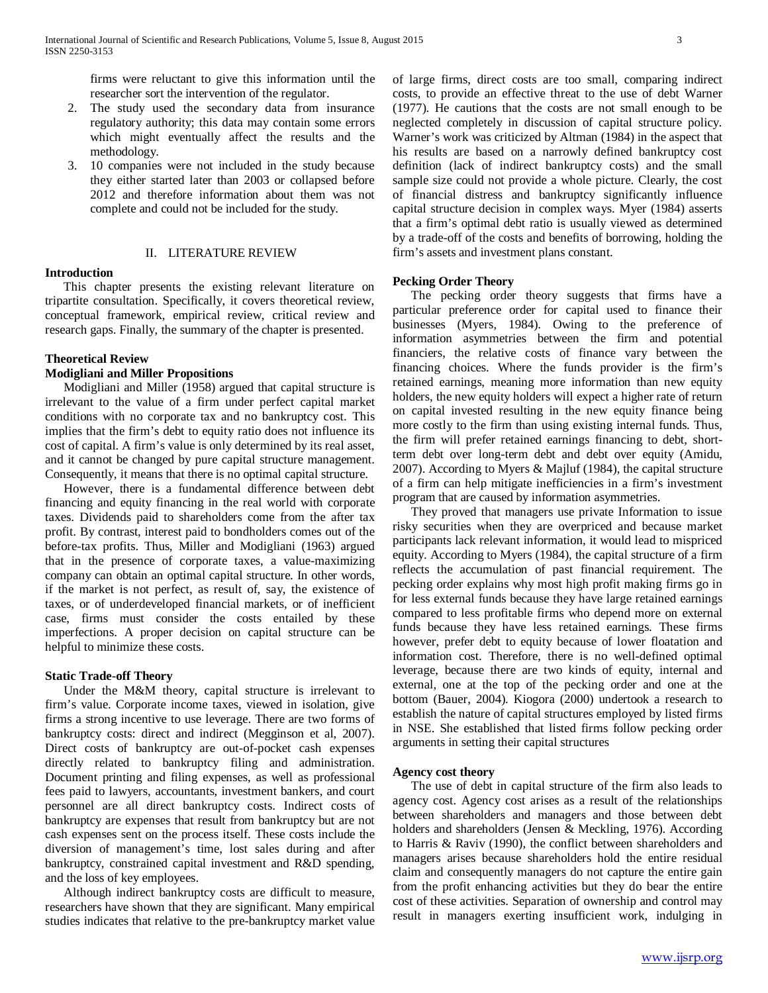firms were reluctant to give this information until the researcher sort the intervention of the regulator.

- 2. The study used the secondary data from insurance regulatory authority; this data may contain some errors which might eventually affect the results and the methodology.
- 3. 10 companies were not included in the study because they either started later than 2003 or collapsed before 2012 and therefore information about them was not complete and could not be included for the study.

#### II. LITERATURE REVIEW

#### **Introduction**

 This chapter presents the existing relevant literature on tripartite consultation. Specifically, it covers theoretical review, conceptual framework, empirical review, critical review and research gaps. Finally, the summary of the chapter is presented.

#### **Theoretical Review**

#### **Modigliani and Miller Propositions**

 Modigliani and Miller (1958) argued that capital structure is irrelevant to the value of a firm under perfect capital market conditions with no corporate tax and no bankruptcy cost. This implies that the firm's debt to equity ratio does not influence its cost of capital. A firm's value is only determined by its real asset, and it cannot be changed by pure capital structure management. Consequently, it means that there is no optimal capital structure.

 However, there is a fundamental difference between debt financing and equity financing in the real world with corporate taxes. Dividends paid to shareholders come from the after tax profit. By contrast, interest paid to bondholders comes out of the before-tax profits. Thus, Miller and Modigliani (1963) argued that in the presence of corporate taxes, a value-maximizing company can obtain an optimal capital structure. In other words, if the market is not perfect, as result of, say, the existence of taxes, or of underdeveloped financial markets, or of inefficient case, firms must consider the costs entailed by these imperfections. A proper decision on capital structure can be helpful to minimize these costs.

## **Static Trade-off Theory**

 Under the M&M theory, capital structure is irrelevant to firm's value. Corporate income taxes, viewed in isolation, give firms a strong incentive to use leverage. There are two forms of bankruptcy costs: direct and indirect (Megginson et al, 2007). Direct costs of bankruptcy are out-of-pocket cash expenses directly related to bankruptcy filing and administration. Document printing and filing expenses, as well as professional fees paid to lawyers, accountants, investment bankers, and court personnel are all direct bankruptcy costs. Indirect costs of bankruptcy are expenses that result from bankruptcy but are not cash expenses sent on the process itself. These costs include the diversion of management's time, lost sales during and after bankruptcy, constrained capital investment and R&D spending, and the loss of key employees.

 Although indirect bankruptcy costs are difficult to measure, researchers have shown that they are significant. Many empirical studies indicates that relative to the pre-bankruptcy market value

of large firms, direct costs are too small, comparing indirect costs, to provide an effective threat to the use of debt Warner (1977). He cautions that the costs are not small enough to be neglected completely in discussion of capital structure policy. Warner's work was criticized by Altman (1984) in the aspect that his results are based on a narrowly defined bankruptcy cost definition (lack of indirect bankruptcy costs) and the small sample size could not provide a whole picture. Clearly, the cost of financial distress and bankruptcy significantly influence capital structure decision in complex ways. Myer (1984) asserts that a firm's optimal debt ratio is usually viewed as determined by a trade-off of the costs and benefits of borrowing, holding the firm's assets and investment plans constant.

#### **Pecking Order Theory**

 The pecking order theory suggests that firms have a particular preference order for capital used to finance their businesses (Myers, 1984). Owing to the preference of information asymmetries between the firm and potential financiers, the relative costs of finance vary between the financing choices. Where the funds provider is the firm's retained earnings, meaning more information than new equity holders, the new equity holders will expect a higher rate of return on capital invested resulting in the new equity finance being more costly to the firm than using existing internal funds. Thus, the firm will prefer retained earnings financing to debt, shortterm debt over long-term debt and debt over equity (Amidu, 2007). According to Myers & Majluf (1984), the capital structure of a firm can help mitigate inefficiencies in a firm's investment program that are caused by information asymmetries.

 They proved that managers use private Information to issue risky securities when they are overpriced and because market participants lack relevant information, it would lead to mispriced equity. According to Myers (1984), the capital structure of a firm reflects the accumulation of past financial requirement. The pecking order explains why most high profit making firms go in for less external funds because they have large retained earnings compared to less profitable firms who depend more on external funds because they have less retained earnings. These firms however, prefer debt to equity because of lower floatation and information cost. Therefore, there is no well-defined optimal leverage, because there are two kinds of equity, internal and external, one at the top of the pecking order and one at the bottom (Bauer, 2004). Kiogora (2000) undertook a research to establish the nature of capital structures employed by listed firms in NSE. She established that listed firms follow pecking order arguments in setting their capital structures

#### **Agency cost theory**

 The use of debt in capital structure of the firm also leads to agency cost. Agency cost arises as a result of the relationships between shareholders and managers and those between debt holders and shareholders (Jensen & Meckling, 1976). According to Harris & Raviv (1990), the conflict between shareholders and managers arises because shareholders hold the entire residual claim and consequently managers do not capture the entire gain from the profit enhancing activities but they do bear the entire cost of these activities. Separation of ownership and control may result in managers exerting insufficient work, indulging in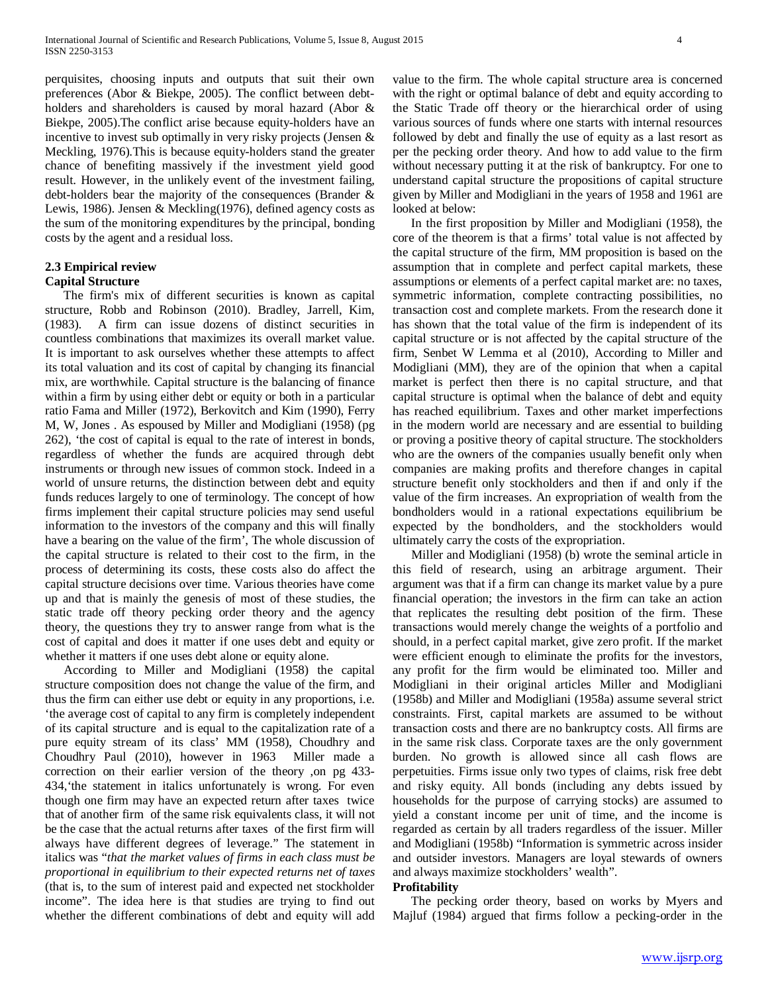perquisites, choosing inputs and outputs that suit their own preferences (Abor & Biekpe, 2005). The conflict between debtholders and shareholders is caused by moral hazard (Abor & Biekpe, 2005).The conflict arise because equity-holders have an incentive to invest sub optimally in very risky projects (Jensen & Meckling, 1976).This is because equity-holders stand the greater chance of benefiting massively if the investment yield good result. However, in the unlikely event of the investment failing, debt-holders bear the majority of the consequences (Brander & Lewis, 1986). Jensen & Meckling(1976), defined agency costs as the sum of the monitoring expenditures by the principal, bonding costs by the agent and a residual loss.

## **2.3 Empirical review Capital Structure**

 The firm's mix of different securities is known as capital structure, Robb and Robinson (2010). Bradley, Jarrell, Kim, (1983). A firm can issue dozens of distinct securities in countless combinations that maximizes its overall market value. It is important to ask ourselves whether these attempts to affect its total valuation and its cost of capital by changing its financial mix, are worthwhile. Capital structure is the balancing of finance within a firm by using either debt or equity or both in a particular ratio Fama and Miller (1972), Berkovitch and Kim (1990), Ferry M, W, Jones . As espoused by Miller and Modigliani (1958) (pg 262), 'the cost of capital is equal to the rate of interest in bonds, regardless of whether the funds are acquired through debt instruments or through new issues of common stock. Indeed in a world of unsure returns, the distinction between debt and equity funds reduces largely to one of terminology. The concept of how firms implement their capital structure policies may send useful information to the investors of the company and this will finally have a bearing on the value of the firm', The whole discussion of the capital structure is related to their cost to the firm, in the process of determining its costs, these costs also do affect the capital structure decisions over time. Various theories have come up and that is mainly the genesis of most of these studies, the static trade off theory pecking order theory and the agency theory, the questions they try to answer range from what is the cost of capital and does it matter if one uses debt and equity or whether it matters if one uses debt alone or equity alone.

 According to Miller and Modigliani (1958) the capital structure composition does not change the value of the firm, and thus the firm can either use debt or equity in any proportions, i.e. 'the average cost of capital to any firm is completely independent of its capital structure and is equal to the capitalization rate of a pure equity stream of its class' MM (1958), Choudhry and Choudhry Paul (2010), however in 1963 Miller made a correction on their earlier version of the theory ,on pg 433- 434,'the statement in italics unfortunately is wrong. For even though one firm may have an expected return after taxes twice that of another firm of the same risk equivalents class, it will not be the case that the actual returns after taxes of the first firm will always have different degrees of leverage." The statement in italics was "*that the market values of firms in each class must be proportional in equilibrium to their expected returns net of taxes* (that is, to the sum of interest paid and expected net stockholder income". The idea here is that studies are trying to find out whether the different combinations of debt and equity will add value to the firm. The whole capital structure area is concerned with the right or optimal balance of debt and equity according to the Static Trade off theory or the hierarchical order of using various sources of funds where one starts with internal resources followed by debt and finally the use of equity as a last resort as per the pecking order theory. And how to add value to the firm without necessary putting it at the risk of bankruptcy. For one to understand capital structure the propositions of capital structure given by Miller and Modigliani in the years of 1958 and 1961 are looked at below:

 In the first proposition by Miller and Modigliani (1958), the core of the theorem is that a firms' total value is not affected by the capital structure of the firm, MM proposition is based on the assumption that in complete and perfect capital markets, these assumptions or elements of a perfect capital market are: no taxes, symmetric information, complete contracting possibilities, no transaction cost and complete markets. From the research done it has shown that the total value of the firm is independent of its capital structure or is not affected by the capital structure of the firm, Senbet W Lemma et al (2010), According to Miller and Modigliani (MM), they are of the opinion that when a capital market is perfect then there is no capital structure, and that capital structure is optimal when the balance of debt and equity has reached equilibrium. Taxes and other market imperfections in the modern world are necessary and are essential to building or proving a positive theory of capital structure. The stockholders who are the owners of the companies usually benefit only when companies are making profits and therefore changes in capital structure benefit only stockholders and then if and only if the value of the firm increases. An expropriation of wealth from the bondholders would in a rational expectations equilibrium be expected by the bondholders, and the stockholders would ultimately carry the costs of the expropriation.

 Miller and Modigliani (1958) (b) wrote the seminal article in this field of research, using an arbitrage argument. Their argument was that if a firm can change its market value by a pure financial operation; the investors in the firm can take an action that replicates the resulting debt position of the firm. These transactions would merely change the weights of a portfolio and should, in a perfect capital market, give zero profit. If the market were efficient enough to eliminate the profits for the investors, any profit for the firm would be eliminated too. Miller and Modigliani in their original articles Miller and Modigliani (1958b) and Miller and Modigliani (1958a) assume several strict constraints. First, capital markets are assumed to be without transaction costs and there are no bankruptcy costs. All firms are in the same risk class. Corporate taxes are the only government burden. No growth is allowed since all cash flows are perpetuities. Firms issue only two types of claims, risk free debt and risky equity. All bonds (including any debts issued by households for the purpose of carrying stocks) are assumed to yield a constant income per unit of time, and the income is regarded as certain by all traders regardless of the issuer. Miller and Modigliani (1958b) "Information is symmetric across insider and outsider investors. Managers are loyal stewards of owners and always maximize stockholders' wealth".

# **Profitability**

 The pecking order theory, based on works by Myers and Majluf (1984) argued that firms follow a pecking-order in the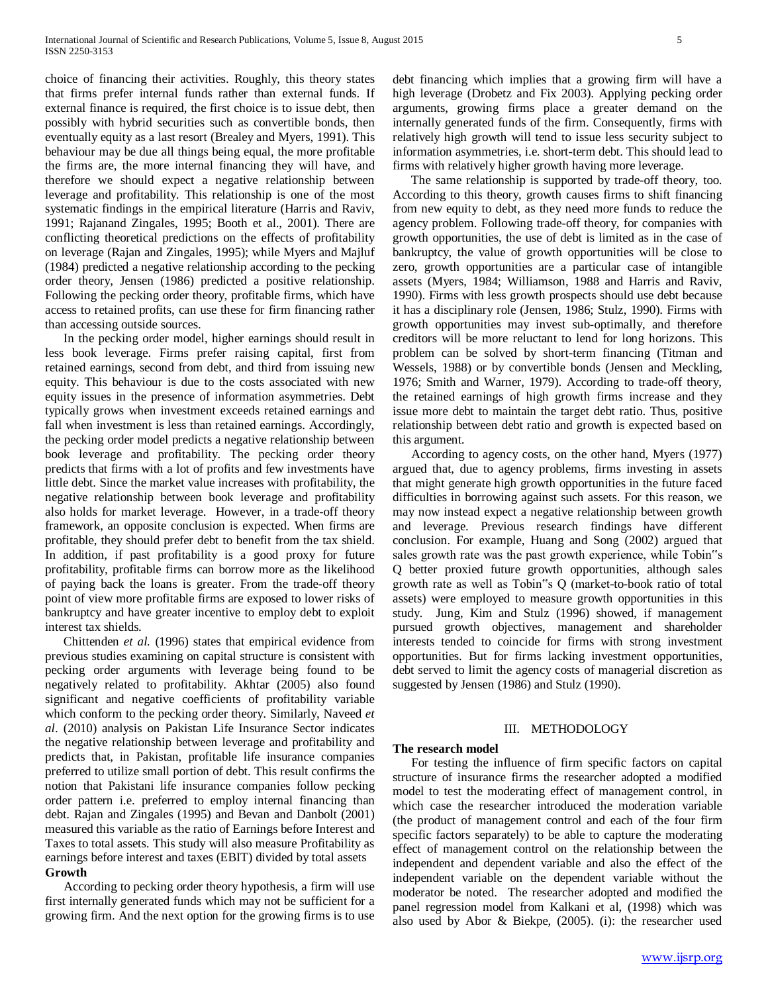choice of financing their activities. Roughly, this theory states that firms prefer internal funds rather than external funds. If external finance is required, the first choice is to issue debt, then possibly with hybrid securities such as convertible bonds, then eventually equity as a last resort (Brealey and Myers, 1991). This behaviour may be due all things being equal, the more profitable the firms are, the more internal financing they will have, and therefore we should expect a negative relationship between leverage and profitability. This relationship is one of the most systematic findings in the empirical literature (Harris and Raviv, 1991; Rajanand Zingales, 1995; Booth et al., 2001). There are conflicting theoretical predictions on the effects of profitability on leverage (Rajan and Zingales, 1995); while Myers and Majluf (1984) predicted a negative relationship according to the pecking order theory, Jensen (1986) predicted a positive relationship. Following the pecking order theory, profitable firms, which have access to retained profits, can use these for firm financing rather than accessing outside sources.

 In the pecking order model, higher earnings should result in less book leverage. Firms prefer raising capital, first from retained earnings, second from debt, and third from issuing new equity. This behaviour is due to the costs associated with new equity issues in the presence of information asymmetries. Debt typically grows when investment exceeds retained earnings and fall when investment is less than retained earnings. Accordingly, the pecking order model predicts a negative relationship between book leverage and profitability. The pecking order theory predicts that firms with a lot of profits and few investments have little debt. Since the market value increases with profitability, the negative relationship between book leverage and profitability also holds for market leverage. However, in a trade-off theory framework, an opposite conclusion is expected. When firms are profitable, they should prefer debt to benefit from the tax shield. In addition, if past profitability is a good proxy for future profitability, profitable firms can borrow more as the likelihood of paying back the loans is greater. From the trade-off theory point of view more profitable firms are exposed to lower risks of bankruptcy and have greater incentive to employ debt to exploit interest tax shields.

 Chittenden *et al.* (1996) states that empirical evidence from previous studies examining on capital structure is consistent with pecking order arguments with leverage being found to be negatively related to profitability. Akhtar (2005) also found significant and negative coefficients of profitability variable which conform to the pecking order theory. Similarly, Naveed *et al*. (2010) analysis on Pakistan Life Insurance Sector indicates the negative relationship between leverage and profitability and predicts that, in Pakistan, profitable life insurance companies preferred to utilize small portion of debt. This result confirms the notion that Pakistani life insurance companies follow pecking order pattern i.e. preferred to employ internal financing than debt. Rajan and Zingales (1995) and Bevan and Danbolt (2001) measured this variable as the ratio of Earnings before Interest and Taxes to total assets. This study will also measure Profitability as earnings before interest and taxes (EBIT) divided by total assets **Growth**

 According to pecking order theory hypothesis, a firm will use first internally generated funds which may not be sufficient for a growing firm. And the next option for the growing firms is to use

debt financing which implies that a growing firm will have a high leverage (Drobetz and Fix 2003). Applying pecking order arguments, growing firms place a greater demand on the internally generated funds of the firm. Consequently, firms with relatively high growth will tend to issue less security subject to information asymmetries, i.e. short-term debt. This should lead to firms with relatively higher growth having more leverage.

 The same relationship is supported by trade-off theory, too. According to this theory, growth causes firms to shift financing from new equity to debt, as they need more funds to reduce the agency problem. Following trade-off theory, for companies with growth opportunities, the use of debt is limited as in the case of bankruptcy, the value of growth opportunities will be close to zero, growth opportunities are a particular case of intangible assets (Myers, 1984; Williamson, 1988 and Harris and Raviv, 1990). Firms with less growth prospects should use debt because it has a disciplinary role (Jensen, 1986; Stulz, 1990). Firms with growth opportunities may invest sub-optimally, and therefore creditors will be more reluctant to lend for long horizons. This problem can be solved by short-term financing (Titman and Wessels, 1988) or by convertible bonds (Jensen and Meckling, 1976; Smith and Warner, 1979). According to trade-off theory, the retained earnings of high growth firms increase and they issue more debt to maintain the target debt ratio. Thus, positive relationship between debt ratio and growth is expected based on this argument.

 According to agency costs, on the other hand, Myers (1977) argued that, due to agency problems, firms investing in assets that might generate high growth opportunities in the future faced difficulties in borrowing against such assets. For this reason, we may now instead expect a negative relationship between growth and leverage. Previous research findings have different conclusion. For example, Huang and Song (2002) argued that sales growth rate was the past growth experience, while Tobin"s Q better proxied future growth opportunities, although sales growth rate as well as Tobin"s Q (market-to-book ratio of total assets) were employed to measure growth opportunities in this study. Jung, Kim and Stulz (1996) showed, if management pursued growth objectives, management and shareholder interests tended to coincide for firms with strong investment opportunities. But for firms lacking investment opportunities, debt served to limit the agency costs of managerial discretion as suggested by Jensen (1986) and Stulz (1990).

#### III. METHODOLOGY

#### **The research model**

 For testing the influence of firm specific factors on capital structure of insurance firms the researcher adopted a modified model to test the moderating effect of management control, in which case the researcher introduced the moderation variable (the product of management control and each of the four firm specific factors separately) to be able to capture the moderating effect of management control on the relationship between the independent and dependent variable and also the effect of the independent variable on the dependent variable without the moderator be noted. The researcher adopted and modified the panel regression model from Kalkani et al, (1998) which was also used by Abor & Biekpe, (2005). (i): the researcher used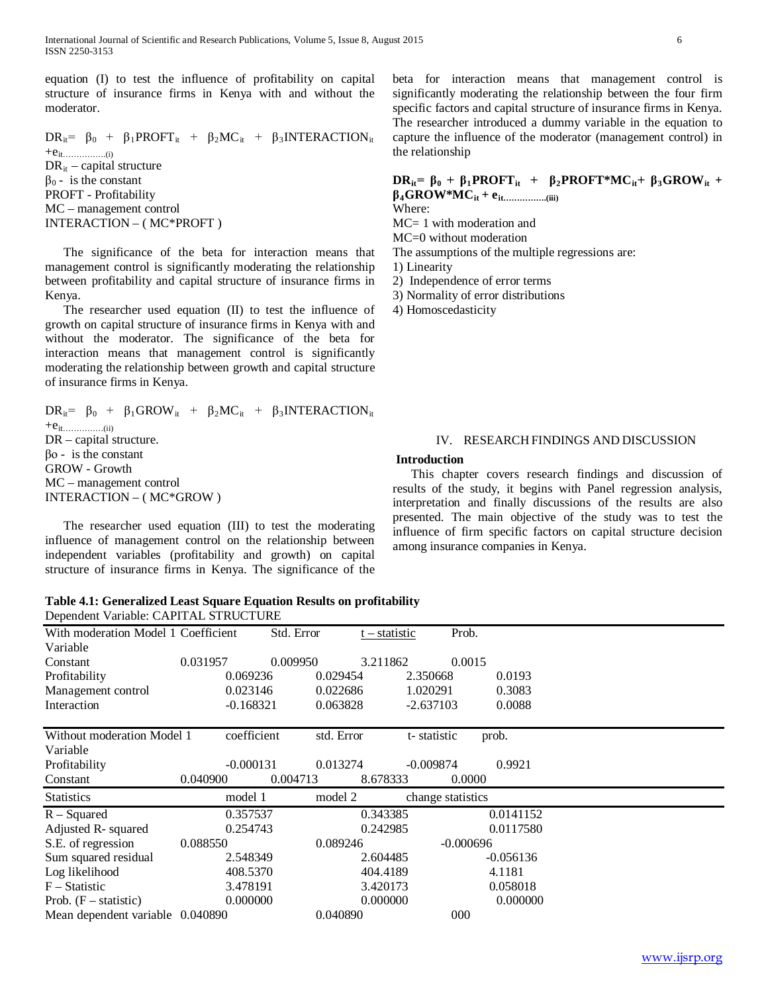equation (I) to test the influence of profitability on capital structure of insurance firms in Kenya with and without the moderator.

 $DR_{it} = \beta_0 + \beta_1 PROFT_{it} + \beta_2 MC_{it} + \beta_3 INTERACTION_{it}$  $+e_{it}$ <sub>(i)</sub>  $DR_{it}$  – capital structure  $\beta_0$  - is the constant PROFT - Profitability MC – management control INTERACTION – ( MC\*PROFT )

 The significance of the beta for interaction means that management control is significantly moderating the relationship between profitability and capital structure of insurance firms in Kenya.

 The researcher used equation (II) to test the influence of growth on capital structure of insurance firms in Kenya with and without the moderator. The significance of the beta for interaction means that management control is significantly moderating the relationship between growth and capital structure of insurance firms in Kenya.

 $DR_{it} = \beta_0 + \beta_1 GROW_{it} + \beta_2 MC_{it} + \beta_3 INTERACTION_{it}$  $+e_{it}\dots\dots\dots\dots\dots(i)}$ DR – capital structure. βο - is the constant GROW - Growth MC – management control INTERACTION – ( MC\*GROW )

 The researcher used equation (III) to test the moderating influence of management control on the relationship between independent variables (profitability and growth) on capital structure of insurance firms in Kenya. The significance of the beta for interaction means that management control is significantly moderating the relationship between the four firm specific factors and capital structure of insurance firms in Kenya. The researcher introduced a dummy variable in the equation to capture the influence of the moderator (management control) in the relationship

# **DR**<sub>it</sub> =  $\beta_0$  +  $\beta_1$ **PROFT**<sub>it</sub> +  $\beta_2$ **PROFT**\*MC<sub>it</sub> +  $\beta_3$ GROW<sub>it</sub> + **β4GROW\*MCit + eit…………….(iii)**

Where:

MC= 1 with moderation and

MC=0 without moderation

The assumptions of the multiple regressions are:

1) Linearity

2) Independence of error terms

3) Normality of error distributions

4) Homoscedasticity

# IV. RESEARCH FINDINGS AND DISCUSSION

## **Introduction**

 This chapter covers research findings and discussion of results of the study, it begins with Panel regression analysis, interpretation and finally discussions of the results are also presented. The main objective of the study was to test the influence of firm specific factors on capital structure decision among insurance companies in Kenya.

#### **Table 4.1: Generalized Least Square Equation Results on profitability**  Dependent Variable: CAPITAL STRUCTURE

| With moderation Model 1 Coefficient |             | Std. Error | $t - statistic$ | Prob.             |             |  |
|-------------------------------------|-------------|------------|-----------------|-------------------|-------------|--|
| Variable                            |             |            |                 |                   |             |  |
| Constant                            | 0.031957    | 0.009950   | 3.211862        | 0.0015            |             |  |
| Profitability                       | 0.069236    | 0.029454   |                 | 2.350668          | 0.0193      |  |
| Management control                  | 0.023146    | 0.022686   |                 | 1.020291          | 0.3083      |  |
| Interaction                         | $-0.168321$ | 0.063828   |                 | $-2.637103$       | 0.0088      |  |
| Without moderation Model 1          | coefficient | std. Error |                 | t-statistic       | prob.       |  |
| Variable                            |             |            |                 |                   |             |  |
| Profitability                       | $-0.000131$ | 0.013274   |                 | $-0.009874$       | 0.9921      |  |
| Constant                            | 0.040900    | 0.004713   | 8.678333        | 0.0000            |             |  |
| <b>Statistics</b>                   | model 1     | model 2    |                 | change statistics |             |  |
| $R - Squared$                       | 0.357537    |            | 0.343385        |                   | 0.0141152   |  |
| Adjusted R- squared                 | 0.254743    |            | 0.242985        |                   | 0.0117580   |  |
| S.E. of regression                  | 0.088550    | 0.089246   |                 | $-0.000696$       |             |  |
| Sum squared residual                | 2.548349    |            | 2.604485        |                   | $-0.056136$ |  |
| Log likelihood                      | 408.5370    |            | 404.4189        |                   | 4.1181      |  |
| $F - Statistic$                     | 3.478191    |            | 3.420173        |                   | 0.058018    |  |
| Prob. $(F - statistic)$             | 0.000000    |            | 0.000000        |                   | 0.000000    |  |
| Mean dependent variable 0.040890    |             | 0.040890   |                 | 000               |             |  |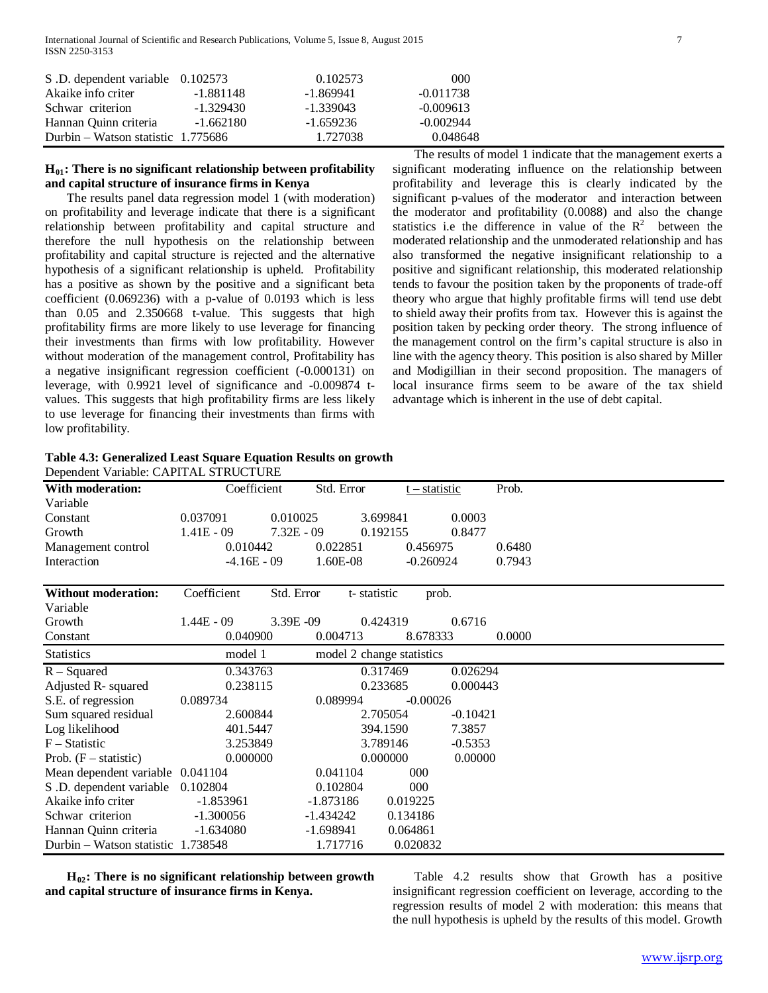| S.D. dependent variable 0.102573   |             | 0.102573    | 000         |
|------------------------------------|-------------|-------------|-------------|
| Akaike info criter                 | -1.881148   | -1.869941   | $-0.011738$ |
| Schwar criterion                   | $-1.329430$ | $-1.339043$ | $-0.009613$ |
| Hannan Ouinn criteria              | $-1.662180$ | $-1.659236$ | $-0.002944$ |
| Durbin – Watson statistic 1.775686 |             | 1.727038    | 0.048648    |

# **H01: There is no significant relationship between profitability and capital structure of insurance firms in Kenya**

 The results panel data regression model 1 (with moderation) on profitability and leverage indicate that there is a significant relationship between profitability and capital structure and therefore the null hypothesis on the relationship between profitability and capital structure is rejected and the alternative hypothesis of a significant relationship is upheld. Profitability has a positive as shown by the positive and a significant beta coefficient (0.069236) with a p-value of 0.0193 which is less than 0.05 and 2.350668 t-value. This suggests that high profitability firms are more likely to use leverage for financing their investments than firms with low profitability. However without moderation of the management control, Profitability has a negative insignificant regression coefficient (-0.000131) on leverage, with 0.9921 level of significance and -0.009874 tvalues. This suggests that high profitability firms are less likely to use leverage for financing their investments than firms with low profitability.

 The results of model 1 indicate that the management exerts a significant moderating influence on the relationship between profitability and leverage this is clearly indicated by the significant p-values of the moderator and interaction between the moderator and profitability (0.0088) and also the change statistics i.e the difference in value of the  $R^2$  between the moderated relationship and the unmoderated relationship and has also transformed the negative insignificant relationship to a positive and significant relationship, this moderated relationship tends to favour the position taken by the proponents of trade-off theory who argue that highly profitable firms will tend use debt to shield away their profits from tax. However this is against the position taken by pecking order theory. The strong influence of the management control on the firm's capital structure is also in line with the agency theory. This position is also shared by Miller and Modigillian in their second proposition. The managers of local insurance firms seem to be aware of the tax shield advantage which is inherent in the use of debt capital.

## **Table 4.3: Generalized Least Square Equation Results on growth**  Dependent Variable: CAPITAL STRUCTURE

| With moderation:                   | Coefficient   | Std. Error   | <u>t – statistic</u>      |            | Prob.  |
|------------------------------------|---------------|--------------|---------------------------|------------|--------|
| Variable                           |               |              |                           |            |        |
| Constant                           | 0.037091      | 0.010025     | 3.699841                  | 0.0003     |        |
| Growth                             | $1.41E - 09$  | $7.32E - 09$ | 0.192155                  | 0.8477     |        |
| Management control                 | 0.010442      | 0.022851     | 0.456975                  |            | 0.6480 |
| Interaction                        | $-4.16E - 09$ | 1.60E-08     | $-0.260924$               |            | 0.7943 |
| <b>Without moderation:</b>         | Coefficient   | Std. Error   | t-statistic<br>prob.      |            |        |
| Variable                           |               |              |                           |            |        |
| Growth                             | $1.44E - 09$  | 3.39E -09    | 0.424319                  | 0.6716     |        |
| Constant                           | 0.040900      | 0.004713     | 8.678333                  |            | 0.0000 |
| <b>Statistics</b>                  | model 1       |              | model 2 change statistics |            |        |
| $R - Squared$                      | 0.343763      |              | 0.317469                  | 0.026294   |        |
| Adjusted R- squared                | 0.238115      |              | 0.233685                  | 0.000443   |        |
| S.E. of regression                 | 0.089734      | 0.089994     | $-0.00026$                |            |        |
| Sum squared residual               | 2.600844      |              | 2.705054                  | $-0.10421$ |        |
| Log likelihood                     | 401.5447      |              | 394.1590                  | 7.3857     |        |
| $F - Statistic$                    | 3.253849      |              | 3.789146                  | $-0.5353$  |        |
| Prob. $(F - statistic)$            | 0.000000      |              | 0.000000                  | 0.00000    |        |
| Mean dependent variable 0.041104   |               | 0.041104     | 000                       |            |        |
| S.D. dependent variable            | 0.102804      | 0.102804     | 000                       |            |        |
| Akaike info criter                 | $-1.853961$   | -1.873186    | 0.019225                  |            |        |
| Schwar criterion                   | $-1.300056$   | -1.434242    | 0.134186                  |            |        |
| Hannan Quinn criteria              | $-1.634080$   | -1.698941    | 0.064861                  |            |        |
| Durbin – Watson statistic 1.738548 |               | 1.717716     | 0.020832                  |            |        |

 **H02: There is no significant relationship between growth and capital structure of insurance firms in Kenya.**

Table 4.2 results show that Growth has a positive insignificant regression coefficient on leverage, according to the regression results of model 2 with moderation: this means that the null hypothesis is upheld by the results of this model. Growth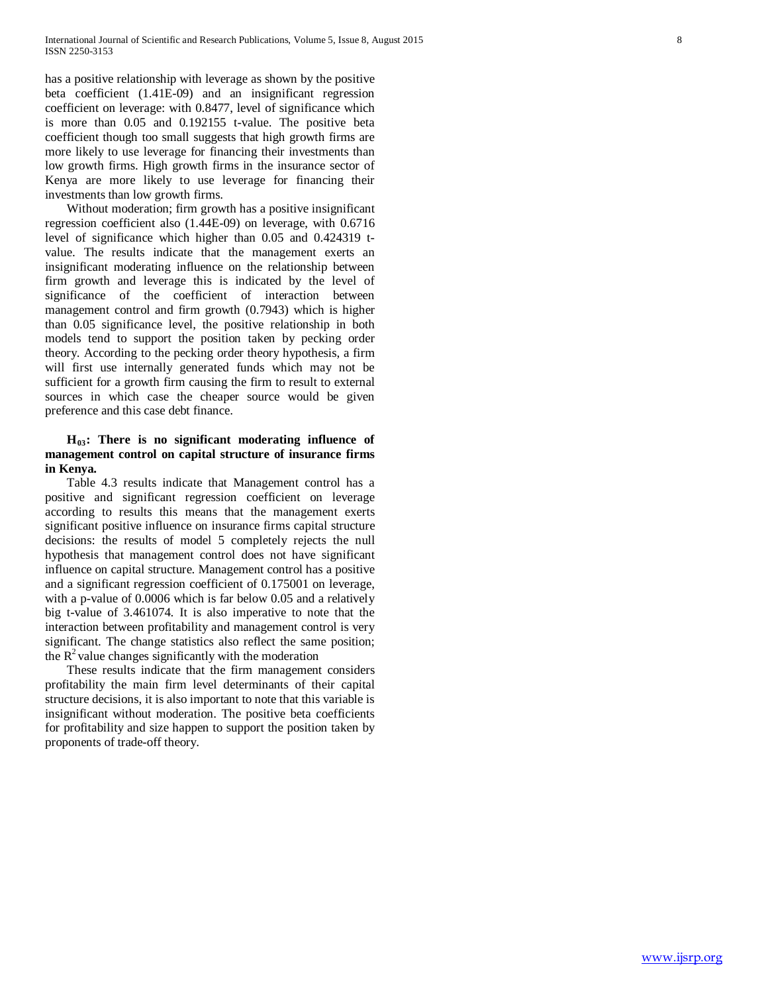has a positive relationship with leverage as shown by the positive beta coefficient (1.41E-09) and an insignificant regression coefficient on leverage: with 0.8477, level of significance which is more than 0.05 and 0.192155 t-value. The positive beta coefficient though too small suggests that high growth firms are more likely to use leverage for financing their investments than low growth firms. High growth firms in the insurance sector of Kenya are more likely to use leverage for financing their investments than low growth firms.

Without moderation; firm growth has a positive insignificant regression coefficient also (1.44E-09) on leverage, with 0.6716 level of significance which higher than 0.05 and 0.424319 tvalue. The results indicate that the management exerts an insignificant moderating influence on the relationship between firm growth and leverage this is indicated by the level of significance of the coefficient of interaction between management control and firm growth (0.7943) which is higher than 0.05 significance level, the positive relationship in both models tend to support the position taken by pecking order theory. According to the pecking order theory hypothesis, a firm will first use internally generated funds which may not be sufficient for a growth firm causing the firm to result to external sources in which case the cheaper source would be given preference and this case debt finance.

# **H03: There is no significant moderating influence of management control on capital structure of insurance firms in Kenya.**

Table 4.3 results indicate that Management control has a positive and significant regression coefficient on leverage according to results this means that the management exerts significant positive influence on insurance firms capital structure decisions: the results of model 5 completely rejects the null hypothesis that management control does not have significant influence on capital structure. Management control has a positive and a significant regression coefficient of 0.175001 on leverage, with a p-value of 0.0006 which is far below 0.05 and a relatively big t-value of 3.461074. It is also imperative to note that the interaction between profitability and management control is very significant. The change statistics also reflect the same position; the  $R^2$  value changes significantly with the moderation

These results indicate that the firm management considers profitability the main firm level determinants of their capital structure decisions, it is also important to note that this variable is insignificant without moderation. The positive beta coefficients for profitability and size happen to support the position taken by proponents of trade-off theory.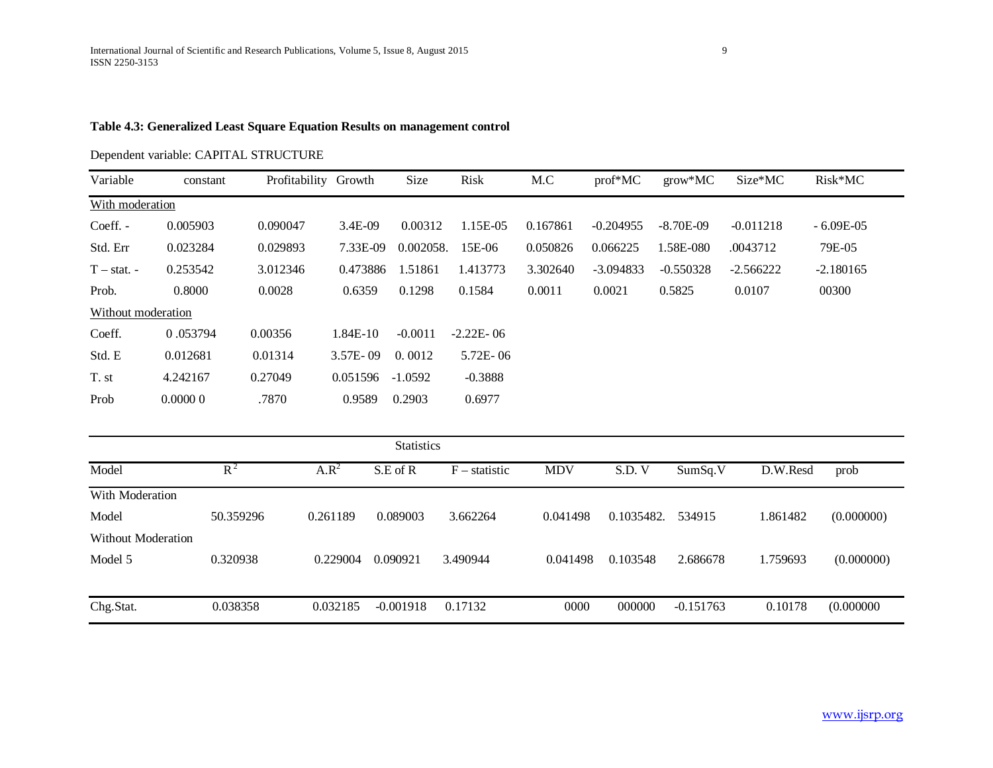# **Table 4.3: Generalized Least Square Equation Results on management control**

# Dependent variable: CAPITAL STRUCTURE

| Variable           | constant | Profitability Growth |              | Size      | Risk          | M.C      | $prof^*MC$  | $grow*MC$   | Size*MC     | $Risk*MC$   |
|--------------------|----------|----------------------|--------------|-----------|---------------|----------|-------------|-------------|-------------|-------------|
| With moderation    |          |                      |              |           |               |          |             |             |             |             |
| Coeff. -           | 0.005903 | 0.090047             | 3.4E-09      | 0.00312   | 1.15E-05      | 0.167861 | $-0.204955$ | $-8.70E-09$ | $-0.011218$ | $-6.09E-05$ |
| Std. Err           | 0.023284 | 0.029893             | 7.33E-09     | 0.002058. | 15E-06        | 0.050826 | 0.066225    | 1.58E-080   | .0043712    | 79E-05      |
| $T - stat. -$      | 0.253542 | 3.012346             | 0.473886     | 1.51861   | 1.413773      | 3.302640 | $-3.094833$ | $-0.550328$ | $-2.566222$ | $-2.180165$ |
| Prob.              | 0.8000   | 0.0028               | 0.6359       | 0.1298    | 0.1584        | 0.0011   | 0.0021      | 0.5825      | 0.0107      | 00300       |
| Without moderation |          |                      |              |           |               |          |             |             |             |             |
| Coeff.             | 0.053794 | 0.00356              | 1.84E-10     | $-0.0011$ | $-2.22E - 06$ |          |             |             |             |             |
| Std. E             | 0.012681 | 0.01314              | $3.57E - 09$ | 0.0012    | $5.72E - 06$  |          |             |             |             |             |
| T. st              | 4.242167 | 0.27049              | 0.051596     | $-1.0592$ | $-0.3888$     |          |             |             |             |             |
| Prob               | 0.00000  | .7870                | 0.9589       | 0.2903    | 0.6977        |          |             |             |             |             |

|                    |           |          | <b>Statistics</b> |                 |            |            |             |          |            |
|--------------------|-----------|----------|-------------------|-----------------|------------|------------|-------------|----------|------------|
| Model              | $R^2$     | $A.R^2$  | $S.E$ of R        | $F -$ statistic | <b>MDV</b> | S.D.V      | SumSq.V     | D.W.Resd | prob       |
| With Moderation    |           |          |                   |                 |            |            |             |          |            |
| Model              | 50.359296 | 0.261189 | 0.089003          | 3.662264        | 0.041498   | 0.1035482. | 534915      | 1.861482 | (0.000000) |
| Without Moderation |           |          |                   |                 |            |            |             |          |            |
| Model 5            | 0.320938  | 0.229004 | 0.090921          | 3.490944        | 0.041498   | 0.103548   | 2.686678    | 1.759693 | (0.000000) |
|                    |           |          |                   |                 |            |            |             |          |            |
| Chg.Stat.          | 0.038358  | 0.032185 | $-0.001918$       | 0.17132         | 0000       | 000000     | $-0.151763$ | 0.10178  | (0.000000) |
|                    |           |          |                   |                 |            |            |             |          |            |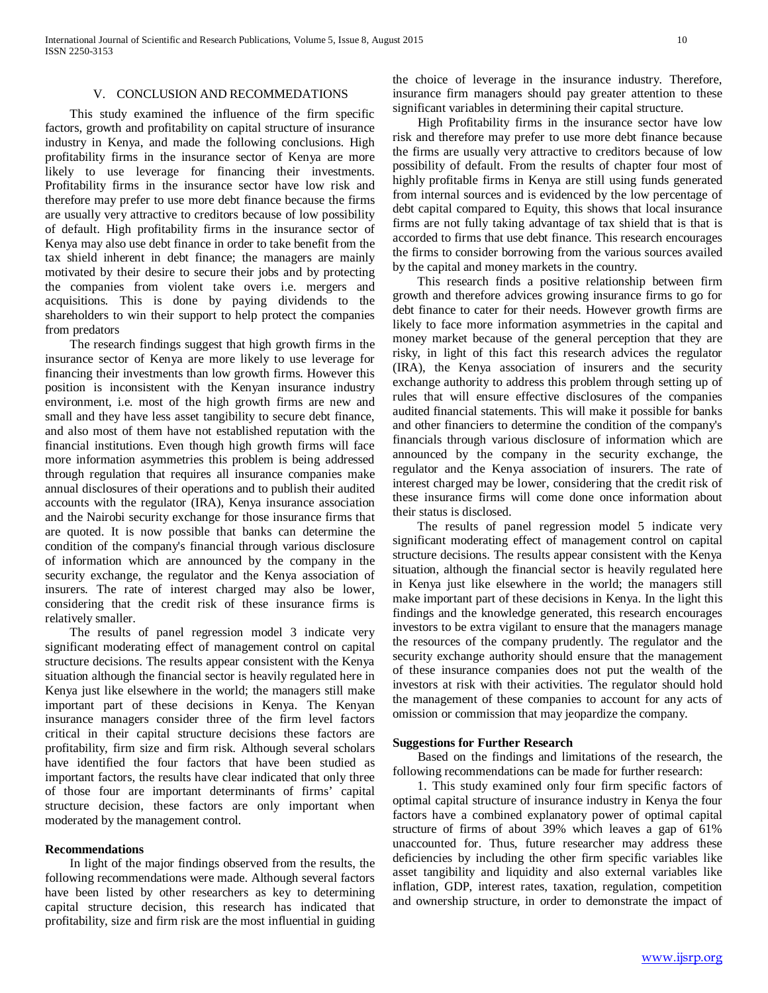#### V. CONCLUSION AND RECOMMEDATIONS

 This study examined the influence of the firm specific factors, growth and profitability on capital structure of insurance industry in Kenya, and made the following conclusions. High profitability firms in the insurance sector of Kenya are more likely to use leverage for financing their investments. Profitability firms in the insurance sector have low risk and therefore may prefer to use more debt finance because the firms are usually very attractive to creditors because of low possibility of default. High profitability firms in the insurance sector of Kenya may also use debt finance in order to take benefit from the tax shield inherent in debt finance; the managers are mainly motivated by their desire to secure their jobs and by protecting the companies from violent take overs i.e. mergers and acquisitions. This is done by paying dividends to the shareholders to win their support to help protect the companies from predators

 The research findings suggest that high growth firms in the insurance sector of Kenya are more likely to use leverage for financing their investments than low growth firms. However this position is inconsistent with the Kenyan insurance industry environment, i.e. most of the high growth firms are new and small and they have less asset tangibility to secure debt finance, and also most of them have not established reputation with the financial institutions. Even though high growth firms will face more information asymmetries this problem is being addressed through regulation that requires all insurance companies make annual disclosures of their operations and to publish their audited accounts with the regulator (IRA), Kenya insurance association and the Nairobi security exchange for those insurance firms that are quoted. It is now possible that banks can determine the condition of the company's financial through various disclosure of information which are announced by the company in the security exchange, the regulator and the Kenya association of insurers. The rate of interest charged may also be lower, considering that the credit risk of these insurance firms is relatively smaller.

 The results of panel regression model 3 indicate very significant moderating effect of management control on capital structure decisions. The results appear consistent with the Kenya situation although the financial sector is heavily regulated here in Kenya just like elsewhere in the world; the managers still make important part of these decisions in Kenya. The Kenyan insurance managers consider three of the firm level factors critical in their capital structure decisions these factors are profitability, firm size and firm risk. Although several scholars have identified the four factors that have been studied as important factors, the results have clear indicated that only three of those four are important determinants of firms' capital structure decision, these factors are only important when moderated by the management control.

#### **Recommendations**

 In light of the major findings observed from the results, the following recommendations were made. Although several factors have been listed by other researchers as key to determining capital structure decision, this research has indicated that profitability, size and firm risk are the most influential in guiding the choice of leverage in the insurance industry. Therefore, insurance firm managers should pay greater attention to these significant variables in determining their capital structure.

 High Profitability firms in the insurance sector have low risk and therefore may prefer to use more debt finance because the firms are usually very attractive to creditors because of low possibility of default. From the results of chapter four most of highly profitable firms in Kenya are still using funds generated from internal sources and is evidenced by the low percentage of debt capital compared to Equity, this shows that local insurance firms are not fully taking advantage of tax shield that is that is accorded to firms that use debt finance. This research encourages the firms to consider borrowing from the various sources availed by the capital and money markets in the country.

 This research finds a positive relationship between firm growth and therefore advices growing insurance firms to go for debt finance to cater for their needs. However growth firms are likely to face more information asymmetries in the capital and money market because of the general perception that they are risky, in light of this fact this research advices the regulator (IRA), the Kenya association of insurers and the security exchange authority to address this problem through setting up of rules that will ensure effective disclosures of the companies audited financial statements. This will make it possible for banks and other financiers to determine the condition of the company's financials through various disclosure of information which are announced by the company in the security exchange, the regulator and the Kenya association of insurers. The rate of interest charged may be lower, considering that the credit risk of these insurance firms will come done once information about their status is disclosed.

 The results of panel regression model 5 indicate very significant moderating effect of management control on capital structure decisions. The results appear consistent with the Kenya situation, although the financial sector is heavily regulated here in Kenya just like elsewhere in the world; the managers still make important part of these decisions in Kenya. In the light this findings and the knowledge generated, this research encourages investors to be extra vigilant to ensure that the managers manage the resources of the company prudently. The regulator and the security exchange authority should ensure that the management of these insurance companies does not put the wealth of the investors at risk with their activities. The regulator should hold the management of these companies to account for any acts of omission or commission that may jeopardize the company.

#### **Suggestions for Further Research**

 Based on the findings and limitations of the research, the following recommendations can be made for further research:

 1. This study examined only four firm specific factors of optimal capital structure of insurance industry in Kenya the four factors have a combined explanatory power of optimal capital structure of firms of about 39% which leaves a gap of 61% unaccounted for. Thus, future researcher may address these deficiencies by including the other firm specific variables like asset tangibility and liquidity and also external variables like inflation, GDP, interest rates, taxation, regulation, competition and ownership structure, in order to demonstrate the impact of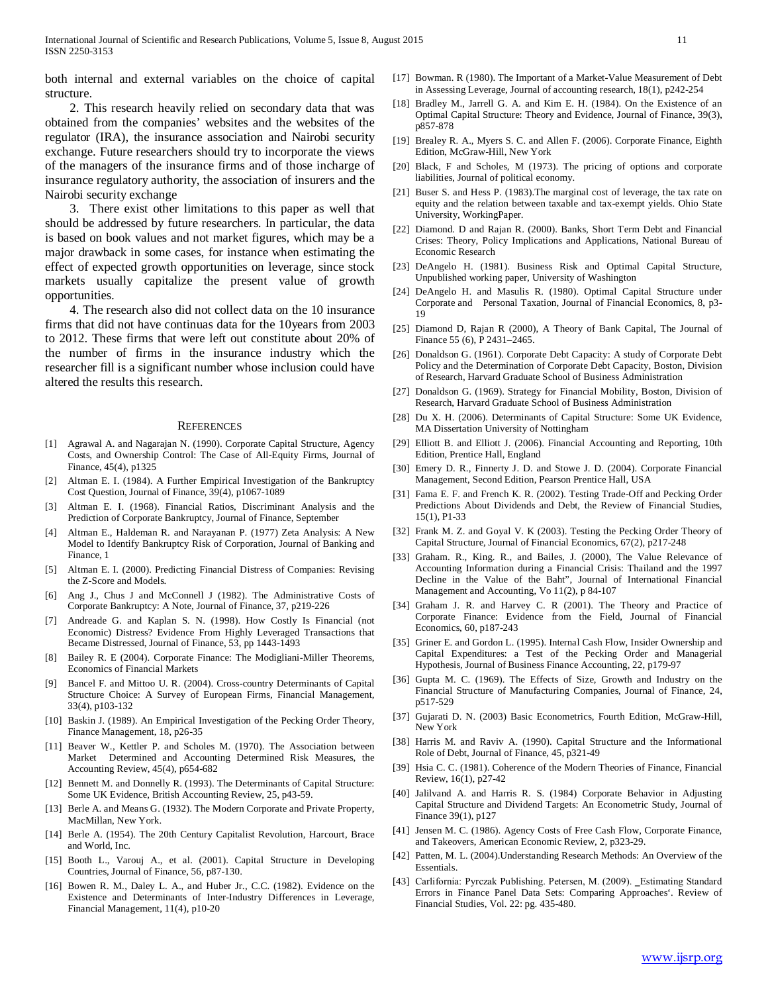both internal and external variables on the choice of capital structure.

 2. This research heavily relied on secondary data that was obtained from the companies' websites and the websites of the regulator (IRA), the insurance association and Nairobi security exchange. Future researchers should try to incorporate the views of the managers of the insurance firms and of those incharge of insurance regulatory authority, the association of insurers and the Nairobi security exchange

 3. There exist other limitations to this paper as well that should be addressed by future researchers. In particular, the data is based on book values and not market figures, which may be a major drawback in some cases, for instance when estimating the effect of expected growth opportunities on leverage, since stock markets usually capitalize the present value of growth opportunities.

 4. The research also did not collect data on the 10 insurance firms that did not have continuas data for the 10years from 2003 to 2012. These firms that were left out constitute about 20% of the number of firms in the insurance industry which the researcher fill is a significant number whose inclusion could have altered the results this research.

#### **REFERENCES**

- [1] Agrawal A. and Nagarajan N. (1990). Corporate Capital Structure, Agency Costs, and Ownership Control: The Case of All-Equity Firms, Journal of Finance, 45(4), p1325
- [2] Altman E. I. (1984). A Further Empirical Investigation of the Bankruptcy Cost Question, Journal of Finance, 39(4), p1067-1089
- [3] Altman E. I. (1968). Financial Ratios, Discriminant Analysis and the Prediction of Corporate Bankruptcy, Journal of Finance, September
- [4] Altman E., Haldeman R. and Narayanan P. (1977) Zeta Analysis: A New Model to Identify Bankruptcy Risk of Corporation, Journal of Banking and Finance, 1
- [5] Altman E. I. (2000). Predicting Financial Distress of Companies: Revising the Z-Score and Models.
- [6] Ang J., Chus J and McConnell J (1982). The Administrative Costs of Corporate Bankruptcy: A Note, Journal of Finance, 37, p219-226
- [7] Andreade G. and Kaplan S. N. (1998). How Costly Is Financial (not Economic) Distress? Evidence From Highly Leveraged Transactions that Became Distressed, Journal of Finance, 53, pp 1443-1493
- [8] Bailey R. E (2004). Corporate Finance: The Modigliani-Miller Theorems, Economics of Financial Markets
- [9] Bancel F. and Mittoo U. R. (2004). Cross-country Determinants of Capital Structure Choice: A Survey of European Firms, Financial Management, 33(4), p103-132
- [10] Baskin J. (1989). An Empirical Investigation of the Pecking Order Theory, Finance Management, 18, p26-35
- [11] Beaver W., Kettler P. and Scholes M. (1970). The Association between Market Determined and Accounting Determined Risk Measures, the Accounting Review, 45(4), p654-682
- [12] Bennett M. and Donnelly R. (1993). The Determinants of Capital Structure: Some UK Evidence, British Accounting Review, 25, p43-59.
- [13] Berle A. and Means G. (1932). The Modern Corporate and Private Property, MacMillan, New York.
- [14] Berle A. (1954). The 20th Century Capitalist Revolution, Harcourt, Brace and World, Inc.
- [15] Booth L., Varouj A., et al. (2001). Capital Structure in Developing Countries, Journal of Finance, 56, p87-130.
- [16] Bowen R. M., Daley L. A., and Huber Jr., C.C. (1982). Evidence on the Existence and Determinants of Inter-Industry Differences in Leverage, Financial Management, 11(4), p10-20
- [17] Bowman. R (1980). The Important of a Market-Value Measurement of Debt in Assessing Leverage, Journal of accounting research, 18(1), p242-254
- [18] Bradley M., Jarrell G. A. and Kim E. H. (1984). On the Existence of an Optimal Capital Structure: Theory and Evidence, Journal of Finance, 39(3), p857-878
- [19] Brealey R. A., Myers S. C. and Allen F. (2006). Corporate Finance, Eighth Edition, McGraw-Hill, New York
- [20] Black, F and Scholes, M (1973). The pricing of options and corporate liabilities, Journal of political economy.
- [21] Buser S. and Hess P. (1983). The marginal cost of leverage, the tax rate on equity and the relation between taxable and tax-exempt yields. Ohio State University, WorkingPaper.
- [22] Diamond. D and Rajan R. (2000). Banks, Short Term Debt and Financial Crises: Theory, Policy Implications and Applications, National Bureau of Economic Research
- [23] DeAngelo H. (1981). Business Risk and Optimal Capital Structure, Unpublished working paper, University of Washington
- [24] DeAngelo H. and Masulis R. (1980). Optimal Capital Structure under Corporate and Personal Taxation, Journal of Financial Economics, 8, p3- 19
- [25] Diamond D, Rajan R (2000), A Theory of Bank Capital, The Journal of Finance 55 (6), P 2431–2465.
- [26] Donaldson G. (1961). Corporate Debt Capacity: A study of Corporate Debt Policy and the Determination of Corporate Debt Capacity, Boston, Division of Research, Harvard Graduate School of Business Administration
- [27] Donaldson G. (1969). Strategy for Financial Mobility, Boston, Division of Research, Harvard Graduate School of Business Administration
- [28] Du X. H. (2006). Determinants of Capital Structure: Some UK Evidence, MA Dissertation University of Nottingham
- [29] Elliott B. and Elliott J. (2006). Financial Accounting and Reporting, 10th Edition, Prentice Hall, England
- [30] Emery D. R., Finnerty J. D. and Stowe J. D. (2004). Corporate Financial Management, Second Edition, Pearson Prentice Hall, USA
- [31] Fama E. F. and French K. R. (2002). Testing Trade-Off and Pecking Order Predictions About Dividends and Debt, the Review of Financial Studies, 15(1), P1-33
- [32] Frank M. Z. and Goyal V. K (2003). Testing the Pecking Order Theory of Capital Structure, Journal of Financial Economics, 67(2), p217-248
- [33] Graham. R., King. R., and Bailes, J. (2000), The Value Relevance of Accounting Information during a Financial Crisis: Thailand and the 1997 Decline in the Value of the Baht", Journal of International Financial Management and Accounting, Vo 11(2), p 84-107
- [34] Graham J. R. and Harvey C. R (2001). The Theory and Practice of Corporate Finance: Evidence from the Field, Journal of Financial Economics, 60, p187-243
- [35] Griner E. and Gordon L. (1995). Internal Cash Flow, Insider Ownership and Capital Expenditures: a Test of the Pecking Order and Managerial Hypothesis, Journal of Business Finance Accounting, 22, p179-97
- [36] Gupta M. C. (1969). The Effects of Size, Growth and Industry on the Financial Structure of Manufacturing Companies, Journal of Finance, 24, p517-529
- [37] Gujarati D. N. (2003) Basic Econometrics, Fourth Edition, McGraw-Hill, New York
- [38] Harris M. and Raviv A. (1990). Capital Structure and the Informational Role of Debt, Journal of Finance, 45, p321-49
- [39] Hsia C. C. (1981). Coherence of the Modern Theories of Finance, Financial Review, 16(1), p27-42
- [40] Jalilvand A. and Harris R. S. (1984) Corporate Behavior in Adjusting Capital Structure and Dividend Targets: An Econometric Study, Journal of Finance 39(1), p127
- [41] Jensen M. C. (1986). Agency Costs of Free Cash Flow, Corporate Finance, and Takeovers, American Economic Review, 2, p323-29.
- [42] Patten, M. L. (2004).Understanding Research Methods: An Overview of the Essentials.
- [43] Carlifornia: Pyrczak Publishing. Petersen, M. (2009). \_Estimating Standard Errors in Finance Panel Data Sets: Comparing Approaches'. Review of Financial Studies, Vol. 22: pg. 435-480.